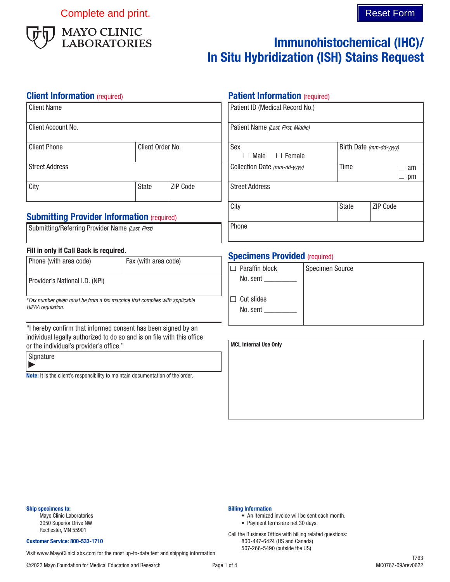Complete and print. Complete and print.



# Immunohistochemical (IHC)/ In Situ Hybridization (ISH) Stains Request

### **Client Information** (required)

| Client Name           |                  |                 |
|-----------------------|------------------|-----------------|
| Client Account No.    |                  |                 |
| <b>Client Phone</b>   | Client Order No. |                 |
| <b>Street Address</b> |                  |                 |
| City                  | <b>State</b>     | <b>ZIP Code</b> |

## **Submitting Provider Information (required)**

| Submitting/Referring Provider Name (Last, First) |  |  |  |  |
|--------------------------------------------------|--|--|--|--|
|--------------------------------------------------|--|--|--|--|

### Fill in only if Call Back is required.

| Phone (with area code)         | Fax (with area code) |
|--------------------------------|----------------------|
| Provider's National I.D. (NPI) |                      |

\**Fax number given must be from a fax machine that complies with applicable HIPAA regulation.*

"I hereby confirm that informed consent has been signed by an individual legally authorized to do so and is on file with this office or the individual's provider's office."

**Signature** Þ

Note: It is the client's responsibility to maintain documentation of the order.

### **Patient Information** (required)

| Patient ID (Medical Record No.)    |                         |          |
|------------------------------------|-------------------------|----------|
| Patient Name (Last, First, Middle) |                         |          |
| Sex                                | Birth Date (mm-dd-yyyy) |          |
| $\Box$ Female<br>Male              |                         |          |
| Collection Date (mm-dd-yyyy)       | Time                    | am       |
|                                    |                         | pm       |
| <b>Street Address</b>              |                         |          |
| City                               | <b>State</b>            | ZIP Code |
| Phone                              |                         |          |

## **Specimens Provided (required)**

| Paraffin block<br>l F      | <b>Specimen Source</b> |
|----------------------------|------------------------|
| No. sent                   |                        |
|                            |                        |
| Cut slides<br>$\mathbf{H}$ |                        |
| No. sent                   |                        |
|                            |                        |

| <b>MCL Internal Use Only</b> |  |  |
|------------------------------|--|--|
|                              |  |  |
|                              |  |  |
|                              |  |  |
|                              |  |  |
|                              |  |  |

#### Ship specimens to:

Mayo Clinic Laboratories 3050 Superior Drive NW Rochester, MN 55901

#### Customer Service: 800-533-1710

Visit www.MayoClinicLabs.com for the most up-to-date test and shipping information.

Billing Information

• An itemized invoice will be sent each month.

• Payment terms are net 30 days. Call the Business Office with billing related questions: 800-447-6424 (US and Canada) 507-266-5490 (outside the US)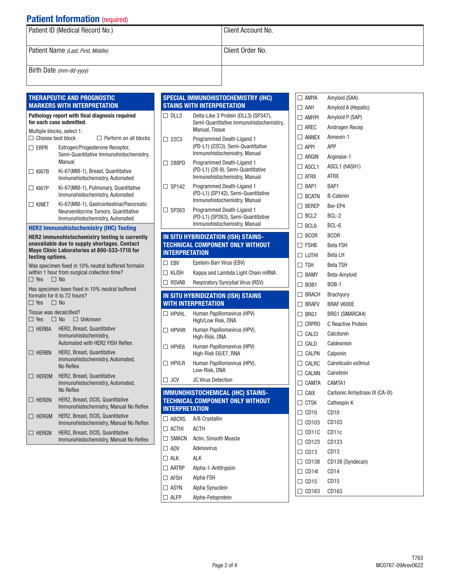## **Patient Information (required)**

| Patient ID (Medical Record No.)    | Client Account No. |
|------------------------------------|--------------------|
| Patient Name (Last, First, Middle) | Client Order No.   |
| Birth Date (mm-dd-yyyy)            |                    |

#### THERAPEUTIC AND PROGNOSTIC MARKERS WITH INTERPRETATION

#### Pathology report with final diagnosis required for each case submitted. Multiple blocks, select 1:<br>  $\Box$  Choose best block  $\Box$  Perform on all blocks ERPR Estrogen/Progesterone Receptor, Semi-Quantitative Immunohistochemistry, Manual

| $\Box$ KI67B | Ki-67(MIB-1), Breast, Quantitative<br>Immunohistochemistry, Automated    |
|--------------|--------------------------------------------------------------------------|
| $\Box$ KI67P | Ki-67(MIB-1), Pulmonary, Quantitative<br>Immunohistochemistry, Automated |
| $\Box$ kinft | Ki-67(MIB-1). Gastrointestinal/Pancreati                                 |

1), Gastrointestinal/Pancreatic Neuroendocrine Tumors, Quantitative Immunohistochemistry, Automated

## HER2 Immunohistochemistry (IHC) Testing

|                                                                                                                                                                           | <b>MEKZ IMMUNONISTOCNEMISTRY (IMG) TESTING</b>                                                                   |  |
|---------------------------------------------------------------------------------------------------------------------------------------------------------------------------|------------------------------------------------------------------------------------------------------------------|--|
| <b>HER2</b> immunohistochemistry testing is currently<br>unavailable due to supply shortages. Contact<br>Mayo Clinic Laboratories at 800-533-1710 for<br>testing options. |                                                                                                                  |  |
| $\Box$ Yes                                                                                                                                                                | Was specimen fixed in 10% neutral buffered formalin<br>within 1 hour from surgical collection time?<br>$\Box$ No |  |
| $\Box$ Yes<br>$\Box$ No                                                                                                                                                   | Has specimen been fixed in 10% neutral buffered<br>formalin for 6 to 72 hours?                                   |  |
| Tissue was decalcified?<br>$\Box$ Yes<br>$\Box$ No                                                                                                                        | $\Box$ Unknown                                                                                                   |  |
| $\Box$ HERBA                                                                                                                                                              | HER2, Breast, Quantitative<br>Immunohistochemistry,<br>Automated with HFR2 FISH Reflex                           |  |
| <b>HERBN</b><br>$\mathsf{L}$                                                                                                                                              | HER2, Breast, Quantitative<br>Immunohistochemistry, Automated,<br>No Reflex                                      |  |
| <b>HERDM</b>                                                                                                                                                              | HER2, Breast, Quantitative<br>Immunohistochemistry, Automated,                                                   |  |

|              | No Reflex                                                                  |
|--------------|----------------------------------------------------------------------------|
| $\Box$ HERDN | HER2, Breast, DCIS, Quantitative<br>Immunohistochemistry, Manual No Reflex |
| $\Box$ HERGM | HER2, Breast, DCIS, Quantitative<br>Immunohistochemistry, Manual No Reflex |
| $\Box$ Hergn | HER2, Breast, DCIS, Quantitative<br>Immunohistochemistry, Manual No Reflex |

|                       | <b>SPECIAL IMMUNOHISTOCHEMISTRY (IHC)</b><br><b>STAINS WITH INTERPRETATION</b>      |
|-----------------------|-------------------------------------------------------------------------------------|
| $\Box$ DLL3           | Delta-Like 3 Protein (DLL3) (SP347),                                                |
|                       | Semi-Quantitative Immunohistochemistry,                                             |
|                       | <b>Manual, Tissue</b>                                                               |
| $\Box$ 22C3           | Programmed Death-Ligand 1                                                           |
|                       | (PD-L1) (22C3), Semi-Quantitative<br>Immunohistochemistry, Manual                   |
| □ 288PD               | Programmed Death-Ligand 1                                                           |
|                       | (PD-L1) (28-8), Semi-Quantitative                                                   |
| $\Box$ SP142          | Immunohistochemistry, Manual                                                        |
|                       | Programmed Death-Ligand 1<br>(PD-L1) (SP142), Semi-Quantitative                     |
|                       | Immunohistochemistry, Manual                                                        |
| $\Box$ SP263          | Programmed Death-Ligand 1                                                           |
|                       | (PD-L1) (SP263), Semi-Quantitative<br>Immunohistochemistry, Manual                  |
|                       | IN SITU HYBRIDIZATION (ISH) STAINS-                                                 |
|                       | <b>TECHNICAL COMPONENT ONLY WITHOUT</b>                                             |
| <b>INTERPRETATION</b> |                                                                                     |
| $\Box$ EBV            | Epstein-Barr Virus (EBV)                                                            |
| $\Box$ KLISH          | Kappa and Lambda Light Chain mRNA                                                   |
| $\Box$ RSVAB          | <b>Respiratory Syncytial Virus (RSV)</b>                                            |
|                       |                                                                                     |
|                       | IN SITU HYBRIDIZATION (ISH) STAINS                                                  |
|                       | <b>WITH INTERPRETATION</b>                                                          |
| $\Box$ HPVHI          | Human Papillomavirus (HPV)<br>High/Low Risk, DNA                                    |
| $\Box$ HPVHR          | Human Papillomavirus (HPV),<br>High-Risk, DNA                                       |
| $\Box$ HPVE6          | Human Papillomavirus (HPV)<br>High-Risk E6/E7, RNA                                  |
| $\Box$ HPVLR          | Human Papillomavirus (HPV),<br>Low-Risk, DNA                                        |
| $\Box$ JCV            | <b>JC Virus Detection</b>                                                           |
|                       |                                                                                     |
|                       | <b>IMMUNOHISTOCHEMICAL (IHC) STAINS-</b><br><b>TECHNICAL COMPONENT ONLY WITHOUT</b> |
| <b>INTERPRETATION</b> |                                                                                     |
| $\Box$ ABCRS          | A/B Crystallin                                                                      |
| $\Box$ ACTHI          | ACTH                                                                                |
| $\Box$ SMACN          | Actin, Smooth Muscle                                                                |
| $\square$ ADV         | Adenovirus                                                                          |
| $\Box$ alk            | AI K                                                                                |
| $\Box$ aatrp          | Alpha-1-Antitrypsin                                                                 |
| $\Box$ AFSH           | Alpha FSH                                                                           |
| $\Box$ ASYN           | Alpha Synuclein                                                                     |

| $\Box$ amya           | Amyloid (SAA)                 |
|-----------------------|-------------------------------|
| $\Box$ AAH            | Amyloid A (Hepatic)           |
| $\Box$ amypi          | Amyloid P (SAP)               |
| $\Box$ arec           | Androgen Recep                |
|                       | ANNEX Annexin-1               |
| $\Box$ APPI           | <b>APP</b>                    |
|                       | ARGIN Arginase-1              |
|                       | $\Box$ ASCL1 ASCL1 (hASH1)    |
| $\Box$ ATRX ATRX      |                               |
| $\Box$ BAP1 BAP1      |                               |
|                       | □ BCATN B-Catenin             |
| □ BEREP Ber-EP4       |                               |
| $\Box$ BCL2 BCL-2     |                               |
| $\Box$ BCL6 BCL-6     |                               |
| $\Box$ BCOR BCOR      |                               |
| $\Box$ FSHB Beta FSH  |                               |
| $\Box$ LUTHI Beta LH  |                               |
| $\Box$ TSH            | Beta TSH                      |
|                       | □ BAMY Beta-Amyloid           |
| $\Box$ BOB1 BOB-1     |                               |
|                       | $\Box$ BRACH Brachyury        |
|                       | □ BRAFV BRAF V600E            |
| $\Box$ BRG1           | BRG1 (SMARCA4)                |
|                       | □ CRPRO C Reactive Protein    |
| $\Box$ Calci          | Calcitonin                    |
| $\Box$ CALD           | Caldesmon                     |
| $\Box$ CALPN Calponin |                               |
|                       | □ CALRC Calreticulin ex9mut   |
|                       | $\Box$ CALNN Calretinin       |
| CAMTA CAMTA1          |                               |
| $\Box$ Caix           | Carbonic Anhydrase IX (CA-IX) |
| $\Box$ CTSK           | Cathespin K                   |
| $\Box$ CD10           | CD <sub>10</sub>              |
| $\Box$ CD103          | CD103                         |
| $\Box$ CD11C          | CD <sub>11</sub> c            |
| $\Box$ CD123          | CD123                         |
| $\Box$ CD13           | CD <sub>13</sub>              |
| $\Box$ CD138          | CD138 (Syndecan)              |
| $\Box$ CD14I          | CD <sub>14</sub>              |
| $\Box$ CD15           | CD <sub>15</sub>              |
| $\Box$ CD163          | CD163                         |
|                       |                               |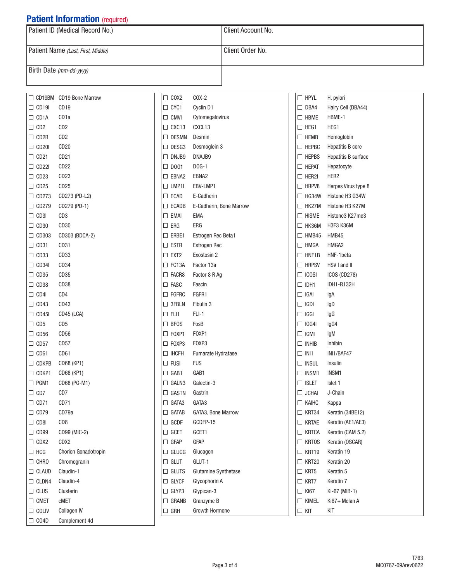## **Patient Information** (required)

| $\sim$ weight in the change of $\sim$ (required) |                      |  |  |  |
|--------------------------------------------------|----------------------|--|--|--|
| Patient ID (Medical Record No.)                  | l Client Account No. |  |  |  |
| Patient Name (Last, First, Middle)               | l Client Order No.   |  |  |  |
| Birth Date $(mm$ -dd-yyyy)                       |                      |  |  |  |

|              | □ CD19BM CD19 Bone Marrow | $\Box$ COX2     | $COX-2$                 | $\Box$ HPYL    | H. pylori            |
|--------------|---------------------------|-----------------|-------------------------|----------------|----------------------|
| $\Box$ CD19I | CD <sub>19</sub>          | $\Box$ CYC1     | Cyclin D1               | $\Box$ DBA4    | Hairy Cell (DBA44)   |
| $\Box$ CD1A  | CD <sub>1a</sub>          | $\Box$ CMVI     | Cytomegalovirus         | $\Box$ HBME    | HBME-1               |
| $\Box$ CD2   | CD2                       | $\Box$ CXC13    | CXCL13                  | $\Box$ HEG1    | HEG1                 |
| $\Box$ CD2B  | CD2                       | $\Box$ DESMN    | Desmin                  | $\square$ HEMB | Hemoglobin           |
| $\Box$ CD20I | CD <sub>20</sub>          | $\square$ DESG3 | Desmoglein 3            | $\Box$ HEPBC   | Hepatitis B core     |
| $\Box$ CD21  | CD <sub>21</sub>          | $\Box$ DNJB9    | DNAJB9                  | $\Box$ HEPBS   | Hepatitis B surface  |
| $\Box$ CD22I | CD <sub>22</sub>          | $\Box$ DOG1     | $DOG-1$                 | $\Box$ HEPAT   | Hepatocyte           |
| $\Box$ CD23  | CD <sub>23</sub>          | $\square$ EBNA2 | EBNA2                   | $\Box$ HER2I   | HER2                 |
| $\Box$ CD25  | CD <sub>25</sub>          | $\Box$ LMP1I    | EBV-LMP1                | $\Box$ HRPV8   | Herpes Virus type 8  |
| $\Box$ CD273 | CD273 (PD-L2)             | $\square$ ECAD  | E-Cadherin              | $\Box$ HG34W   | Histone H3 G34W      |
| $\Box$ CD279 | CD279 (PD-1)              | $\square$ ECADB | E-Cadherin, Bone Marrow | $\Box$ HK27M   | Histone H3 K27M      |
| $\Box$ CD3I  | CD <sub>3</sub>           | $\square$ EMAI  | <b>EMA</b>              | $\Box$ HISME   | Histone3 K27me3      |
| $\Box$ CD30  | CD <sub>30</sub>          | $\square$ ERG   | ERG                     | $\Box$ HK36M   | H3F3 K36M            |
| $\Box$ CD303 | CD303 (BDCA-2)            | $\Box$ ERBE1    | Estrogen Rec Beta1      | $\Box$ HMB45   | HMB45                |
| $\Box$ CD31  | CD31                      | $\square$ ESTR  | Estrogen Rec            | $\Box$ HMGA    | HMGA2                |
| $\Box$ CD33  | CD <sub>33</sub>          | $\square$ EXT2  | Exostosin 2             | $\Box$ HNF1B   | HNF-1beta            |
| $\Box$ CD34I | CD34                      | $\Box$ FC13A    | Factor 13a              | $\Box$ HRPSV   | HSV I and II         |
| $\Box$ CD35  | CD <sub>35</sub>          | $\Box$ FACR8    | Factor 8 R Ag           | $\Box$ ICOSI   | ICOS (CD278)         |
| $\Box$ CD38  | CD <sub>38</sub>          | $\square$ FASC  | Fascin                  | $\Box$ IDH1    | IDH1-R132H           |
| $\Box$ CD4I  | CD4                       | $\Box$ FGFRC    | FGFR1                   | $\Box$ IGAI    | lgA                  |
| $\Box$ CD43  | CD43                      | $\Box$ 3FBLN    | Fibulin 3               | $\Box$ IGDI    | IgD                  |
| $\Box$ CD45I | CD45 (LCA)                | $\Box$ FLI1     | FLI-1                   | $\Box$<br>IGGI | IgG                  |
| $\Box$ CD5   | CD5                       | $\square$ BFOS  | FosB                    | $\Box$ IGG4I   | IgG4                 |
| $\Box$ CD56  | CD <sub>56</sub>          | $\square$ FOXP1 | FOXP1                   | $\Box$ IGMI    | IgM                  |
| $\Box$ CD57  | CD <sub>57</sub>          | $\square$ FOXP3 | FOXP3                   | $\Box$ INHIB   | Inhibin              |
| $\Box$ CD61  | CD61                      | $\Box$ IHCFH    | Fumarate Hydratase      | $\Box$ INI1    | INI1/BAF47           |
| $\Box$ CDKPB | CD68 (KP1)                | $\Box$ FUSI     | <b>FUS</b>              | $\Box$ INSUL   | Insulin              |
| $\Box$ CDKP1 | CD68 (KP1)                | $\Box$ GAB1     | GAB1                    | $\Box$ INSM1   | INSM1                |
| $\Box$ PGM1  | CD68 (PG-M1)              | $\square$ GALN3 | Galectin-3              | $\Box$ ISLET   | Islet 1              |
| $\Box$ CD7   | CD7                       | $\Box$ GASTN    | Gastrin                 | $\Box$ JCHAI   | J-Chain              |
| $\Box$ CD71  | CD71                      | $\Box$ GATA3    | GATA3                   | $\Box$ KAIHC   | Kappa                |
| $\Box$ CD79  | CD79a                     | $\Box$ GATAB    | GATA3, Bone Marrow      | $\Box$ KRT34   | Keratin (34BE12)     |
| $\Box$ CD8I  | CD8                       | $\Box$ GCDF     | GCDFP-15                | $\Box$ KRTAE   | Keratin (AE1/AE3)    |
| $\Box$ CD99  | CD99 (MIC-2)              | $\Box$ GCET     | GCET1                   | $\Box$ KRTCA   | Keratin (CAM 5.2)    |
| $\Box$ CDX2  | CDX2                      | $\Box$ GFAP     | <b>GFAP</b>             | $\Box$ KRTOS   | Keratin (OSCAR)      |
| $\Box$ HCG   | Chorion Gonadotropin      | $\Box$ GLUCG    | Glucagon                | $\Box$ KRT19   | Keratin 19           |
| $\Box$ CHRO  | Chromogranin              | $\Box$ GLUT     | GLUT-1                  | $\Box$ KRT20   | Keratin 20           |
| $\Box$ CLAUD | Claudin-1                 | $\Box$ GLUTS    | Glutamine Synthetase    | $\Box$ KRT5    | Keratin 5            |
| $\Box$ CLDN4 | Claudin-4                 | $\Box$ GLYCF    | Glycophorin A           | $\Box$ KRT7    | Keratin <sub>7</sub> |
| $\Box$ CLUS  | Clusterin                 | $\Box$ GLYP3    | Glypican-3              | $\Box$ KI67    | Ki-67 (MIB-1)        |
| $\Box$ CMET  | <b>CMET</b>               | $\Box$ GRANB    | Granzyme B              | $\Box$ KIMEL   | Ki67+ Melan A        |
| $\Box$ COLIV | <b>Collagen IV</b>        | $\Box$ GRH      | Growth Hormone          | $\Box$ KIT     | KIT                  |
| $\Box$ CO4D  | Complement 4d             |                 |                         |                |                      |